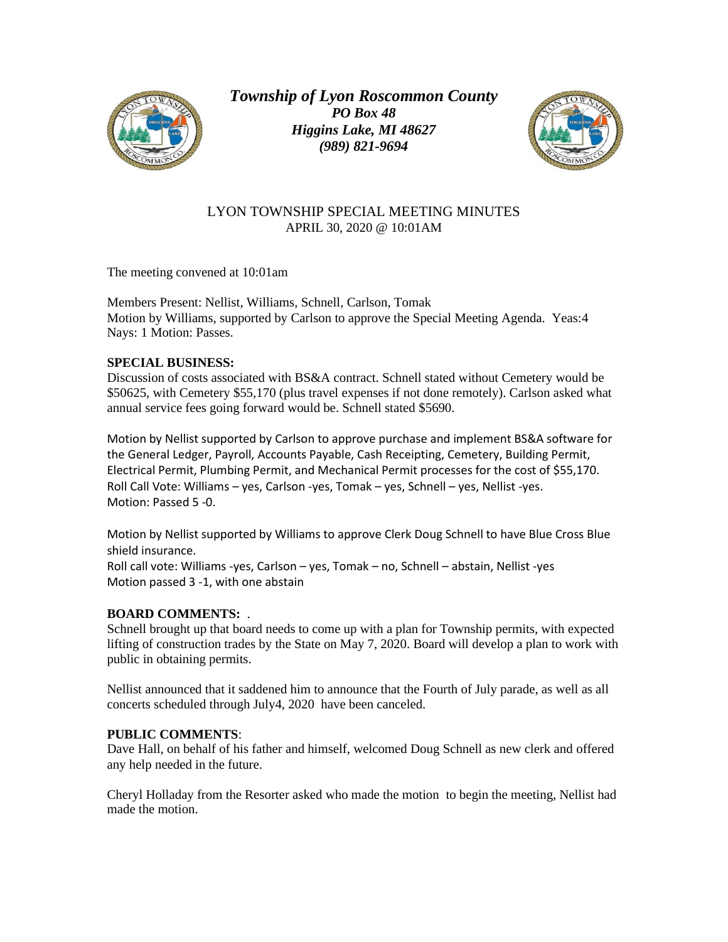

*Township of Lyon Roscommon County PO Box 48 Higgins Lake, MI 48627 (989) 821-9694*



## LYON TOWNSHIP SPECIAL MEETING MINUTES APRIL 30, 2020 @ 10:01AM

The meeting convened at 10:01am

Members Present: Nellist, Williams, Schnell, Carlson, Tomak Motion by Williams, supported by Carlson to approve the Special Meeting Agenda. Yeas:4 Nays: 1 Motion: Passes.

## **SPECIAL BUSINESS:**

Discussion of costs associated with BS&A contract. Schnell stated without Cemetery would be \$50625, with Cemetery \$55,170 (plus travel expenses if not done remotely). Carlson asked what annual service fees going forward would be. Schnell stated \$5690.

Motion by Nellist supported by Carlson to approve purchase and implement BS&A software for the General Ledger, Payroll, Accounts Payable, Cash Receipting, Cemetery, Building Permit, Electrical Permit, Plumbing Permit, and Mechanical Permit processes for the cost of \$55,170. Roll Call Vote: Williams – yes, Carlson -yes, Tomak – yes, Schnell – yes, Nellist -yes. Motion: Passed 5 -0.

Motion by Nellist supported by Williams to approve Clerk Doug Schnell to have Blue Cross Blue shield insurance.

Roll call vote: Williams -yes, Carlson – yes, Tomak – no, Schnell – abstain, Nellist -yes Motion passed 3 -1, with one abstain

## **BOARD COMMENTS:** .

Schnell brought up that board needs to come up with a plan for Township permits, with expected lifting of construction trades by the State on May 7, 2020. Board will develop a plan to work with public in obtaining permits.

Nellist announced that it saddened him to announce that the Fourth of July parade, as well as all concerts scheduled through July4, 2020 have been canceled.

## **PUBLIC COMMENTS**:

Dave Hall, on behalf of his father and himself, welcomed Doug Schnell as new clerk and offered any help needed in the future.

Cheryl Holladay from the Resorter asked who made the motion to begin the meeting, Nellist had made the motion.